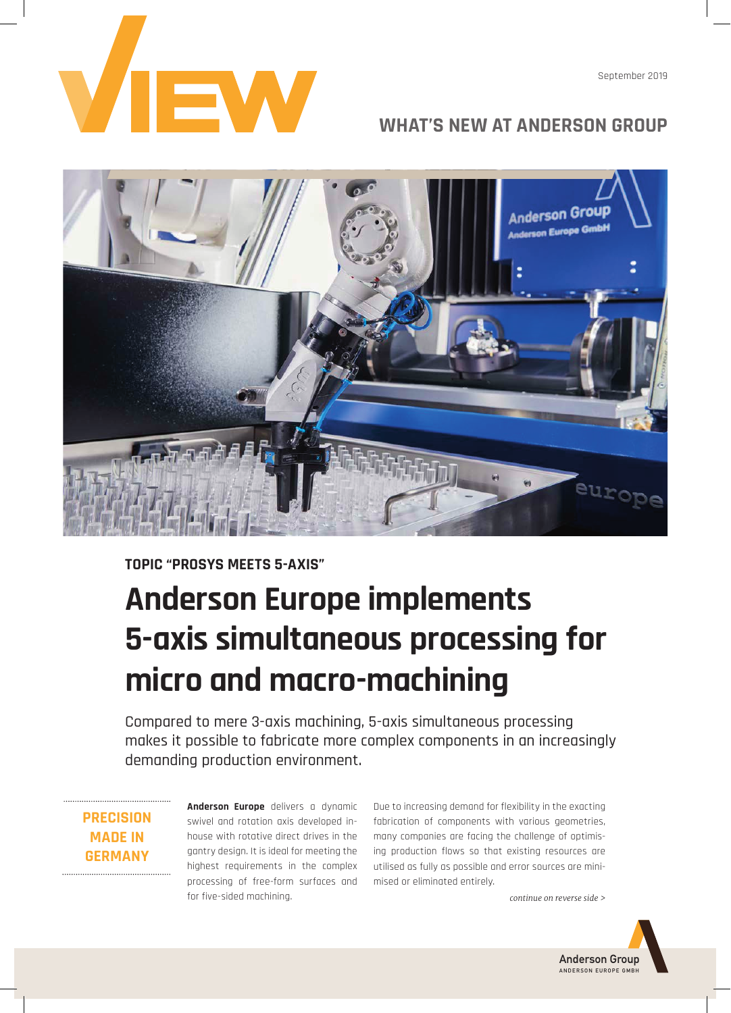

#### September 2019

# **WHAT'S NEW AT ANDERSON GROUP**



**TOPIC "PROSYS MEETS 5-AXIS"** 

# **Anderson Europe implements 5-axis simultaneous processing for micro and macro-machining**

Compared to mere 3-axis machining, 5-axis simultaneous processing makes it possible to fabricate more complex components in an increasingly demanding production environment.

## **PRECISION MADE IN GERMANY**

**Anderson Europe** delivers a dynamic swivel and rotation axis developed inhouse with rotative direct drives in the gantry design. It is ideal for meeting the highest requirements in the complex processing of free-form surfaces and for five-sided machining.

Due to increasing demand for flexibility in the exacting fabrication of components with various geometries, many companies are facing the challenge of optimising production flows so that existing resources are utilised as fully as possible and error sources are minimised or eliminated entirely.

*continue on reverse side >*